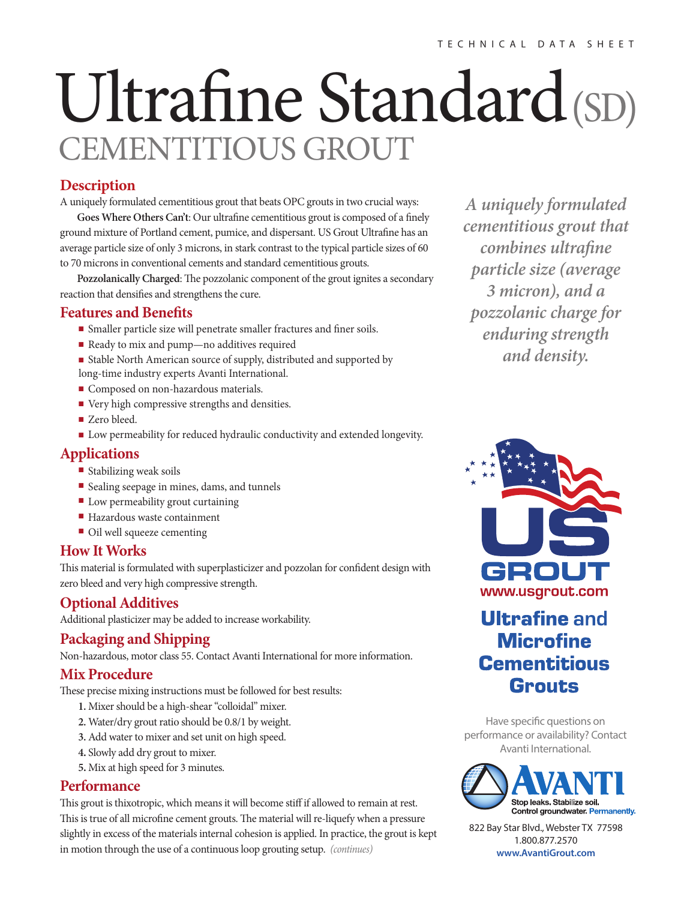# Ultrafine Standard(SD) CEMENTITIOUS GROUT

## **Description**

A uniquely formulated cementitious grout that beats OPC grouts in two crucial ways:

Goes Where Others Can't: Our ultrafine cementitious grout is composed of a finely ground mixture of Portland cement, pumice, and dispersant. US Grout Ultrafine has an average particle size of only 3 microns, in stark contrast to the typical particle sizes of 60 to 70 microns in conventional cements and standard cementitious grouts.

Pozzolanically Charged: The pozzolanic component of the grout ignites a secondary reaction that densifies and strengthens the cure.

#### **Features and Benefits**

- Smaller particle size will penetrate smaller fractures and finer soils.
- Ready to mix and pump—no additives required
- Stable North American source of supply, distributed and supported by long-time industry experts Avanti International.
- Composed on non-hazardous materials.
- Very high compressive strengths and densities.
- Zero bleed.
- Low permeability for reduced hydraulic conductivity and extended longevity.

## **Applications**

- Stabilizing weak soils
- Sealing seepage in mines, dams, and tunnels
- Low permeability grout curtaining
- Hazardous waste containment
- Oil well squeeze cementing

#### **How It Works**

This material is formulated with superplasticizer and pozzolan for confident design with zero bleed and very high compressive strength.

# **Optional Additives**

Additional plasticizer may be added to increase workability.

# **Packaging and Shipping**

Non-hazardous, motor class 55. Contact Avanti International for more information.

#### **Mix Procedure**

These precise mixing instructions must be followed for best results:

- **1.** Mixer should be a high-shear "colloidal" mixer.
- **2.** Water/dry grout ratio should be 0.8/1 by weight.
- **3.** Add water to mixer and set unit on high speed.
- **4.** Slowly add dry grout to mixer.
- **5.** Mix at high speed for 3 minutes.

#### **Performance**

This grout is thixotropic, which means it will become stiff if allowed to remain at rest. This is true of all microfine cement grouts. The material will re-liquefy when a pressure slightly in excess of the materials internal cohesion is applied. In practice, the grout is kept in motion through the use of a continuous loop grouting setup. *(continues)*

*A uniquely formulated cementitious grout that combines ultrafine particle size (average 3 micron), and a pozzolanic charge for enduring strength and density.*



# **Ultrafine and Microfine Cementitious Grouts**

Have specific questions on performance or availability? Contact Avanti International.



822 Bay Star Blvd., Webster TX 77598 1.800.877.2570 **www.AvantiGrout.com**